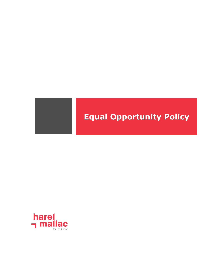

# **Equal Opportunity Policy**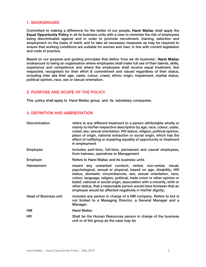# 1. BACKGROUND

Committed to making a difference for the better of our people, Harel Mallac shall apply the Equal Opportunity Policy in all its business units with a view to minimise the risk of employees being discriminated against and in order to promote recruitment, training, selection and employment on the basis of merit; and to take all necessary measures as may be required to ensure that working conditions are suitable for women and men, in line with current legislation and code of practice.

Based on our purpose and guiding principles that define 'how we do business', Harel Mallac endeavours to being an organisation where employees shall make full use of their talents, skills, experience and competence and where the employees shall receive equal treatment, feel respected, recognised for their effort & commitment and valued regardless of their status, including inter alia their age, caste, colour, creed, ethnic origin, impairment, marital status, political opinion, race, sex or sexual orientation.

## 2. PURPOSE AND SCOPE OF THE POLICY

This policy shall apply to Harel Mallac group and its subsidiary companies.

# 3. DEFINITION AND ABBREVIATION

| <b>Discrimination</b>        | refers to any different treatment to a person attributable wholly or<br>mainly to his/her respective description by age, race, colour, caste,<br>creed, sex, sexual orientation, HIV status, religion, political opinion,<br>place of origin, national extraction or social origin, which has the<br>effect of nullifying or impairing equality of opportunity or treatment<br>in employment                                                                                           |  |
|------------------------------|----------------------------------------------------------------------------------------------------------------------------------------------------------------------------------------------------------------------------------------------------------------------------------------------------------------------------------------------------------------------------------------------------------------------------------------------------------------------------------------|--|
| <b>Employee</b>              | Includes part-time, full-time, permanent and casual employees,<br>from trainees, operatives to Management                                                                                                                                                                                                                                                                                                                                                                              |  |
| Employer                     | Refers to Harel Mallac and its business units                                                                                                                                                                                                                                                                                                                                                                                                                                          |  |
| Harassment                   | means any unwanted conduct, verbal, non-verbal, visual,<br>psychological, sexual or physical, based on age, disability, HIV<br>status, domestic circumstances, sex, sexual orientation, race,<br>colour, language, religion, political, trade union or other opinion or<br>belief, national or social origin, association with a minority, birth or<br>other status, that a reasonable person would have foreseen that an<br>employee would be affected negatively in his/her dignity; |  |
| <b>Head of Business unit</b> | includes any person in charge of a HM company. Refers to but is<br>not limited to a Managing Director, a General Manager and a<br>Manager.                                                                                                                                                                                                                                                                                                                                             |  |
| HM                           | <b>Harel Mallac</b>                                                                                                                                                                                                                                                                                                                                                                                                                                                                    |  |
| HR                           | Shall be the Human Resources person in charge of the business<br>unit or of the group as the case may be                                                                                                                                                                                                                                                                                                                                                                               |  |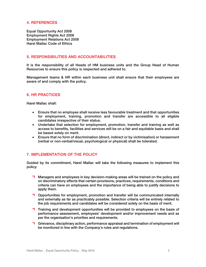### 4. REFERENCES

Equal Opportunity Act 2008 Employment Rights Act 2008 Employment Relations Act 2008 Harel Mallac Code of Ethics

#### 5. RESPONSIBILITIES AND ACCOUNTABILITIES

It is the responsibility of all Heads of HM business units and the Group Head of Human Resources to ensure this policy is respected and adhered to.

Management teams & HR within each business unit shall ensure that their employees are aware of and comply with the policy.

#### 6. HR PRACTICES

Harel Mallac shall:

- Ensure that no employee shall receive less favourable treatment and that opportunities for employment, training, promotion and transfer are accessible to all eligible candidates irrespective of their status.
- Undertake that selection for employment, promotion, transfer and training as well as access to benefits, facilities and services will be on a fair and equitable basis and shall be based solely on merit.
- Ensure that no form of discrimination (direct, indirect or by victimisation) or harassment (verbal or non-verbal/visual, psychological or physical) shall be tolerated.

## 7. IMPLEMENTATION OF THE POLICY

Guided by its commitment, Harel Mallac will take the following measures to implement this policy:

- **T** Managers and employees in key decision-making areas will be trained on the policy and on discriminatory effects that certain provisions, practices, requirements, conditions and criteria can have on employees and the importance of being able to justify decisions to apply them.
- **T** Opportunities for employment, promotion and transfer will be communicated internally and externally as far as practicably possible. Selection criteria will be entirely related to the job requirements and candidates will be considered solely on the basis of merit.
- Training and development opportunities will be provided to employees on the basis of performance assessment, employees' development and/or improvement needs and as per the organisation's priorities and requirements.
- Grievance, disciplinary action, performance appraisal and termination of employment will be monitored in line with the Company's rules and regulations.